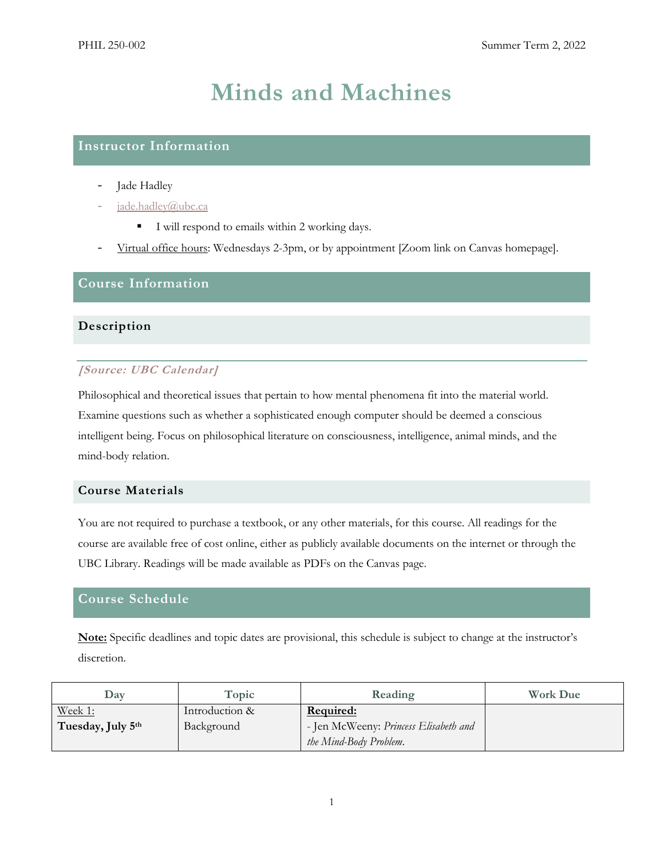# **Minds and Machines**

# **Instructor Information**

- Jade Hadley
- [jade.hadley@ubc.ca](mailto:jade.hadley@ubc.ca)
	- I will respond to emails within 2 working days.
- Virtual office hours: Wednesdays 2-3pm, or by appointment [Zoom link on Canvas homepage].

# **Course Information**

# **Description**

# **[Source: UBC Calendar]**

Philosophical and theoretical issues that pertain to how mental phenomena fit into the material world. Examine questions such as whether a sophisticated enough computer should be deemed a conscious intelligent being. Focus on philosophical literature on consciousness, intelligence, animal minds, and the mind-body relation.

## **Course Materials**

You are not required to purchase a textbook, or any other materials, for this course. All readings for the course are available free of cost online, either as publicly available documents on the internet or through the UBC Library. Readings will be made available as PDFs on the Canvas page.

# **Course Schedule**

**Note:** Specific deadlines and topic dates are provisional, this schedule is subject to change at the instructor's discretion.

| Dav               | Topic          | Reading                               | <b>Work Due</b> |
|-------------------|----------------|---------------------------------------|-----------------|
| Week 1:           | Introduction & | Required:                             |                 |
| Tuesday, July 5th | Background     | - Jen McWeeny: Princess Elisabeth and |                 |
|                   |                | the Mind-Body Problem.                |                 |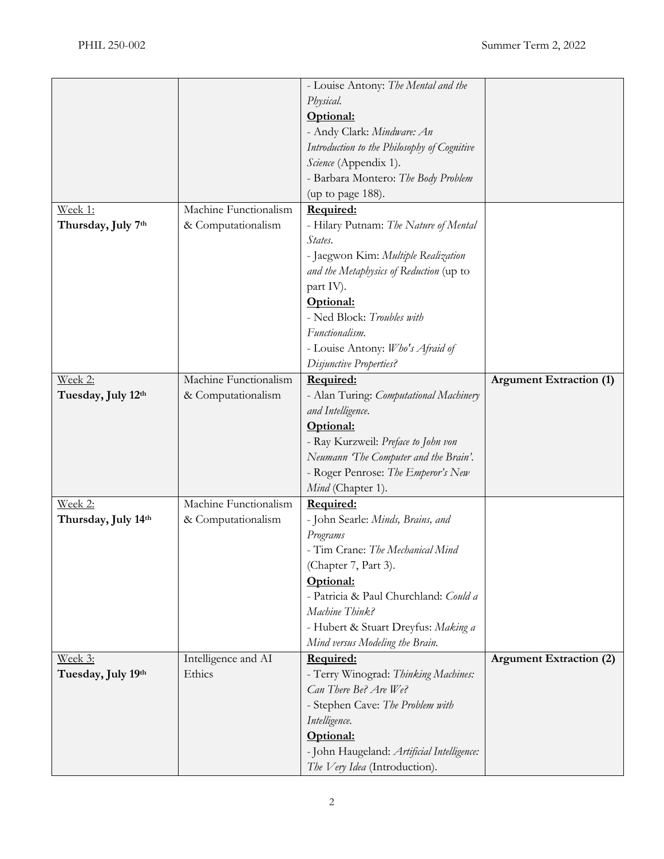|                     |                       | - Louise Antony: The Mental and the                                         |                                |
|---------------------|-----------------------|-----------------------------------------------------------------------------|--------------------------------|
|                     |                       | Physical.                                                                   |                                |
|                     |                       | Optional:                                                                   |                                |
|                     |                       | - Andy Clark: Mindware: An                                                  |                                |
|                     |                       | Introduction to the Philosophy of Cognitive                                 |                                |
|                     |                       | Science (Appendix 1).                                                       |                                |
|                     |                       | - Barbara Montero: The Body Problem                                         |                                |
|                     |                       | (up to page 188).                                                           |                                |
| Week 1:             | Machine Functionalism | Required:                                                                   |                                |
| Thursday, July 7th  | & Computationalism    | - Hilary Putnam: The Nature of Mental                                       |                                |
|                     |                       | States.                                                                     |                                |
|                     |                       | - Jaegwon Kim: Multiple Realization                                         |                                |
|                     |                       | and the Metaphysics of Reduction (up to                                     |                                |
|                     |                       | part IV).                                                                   |                                |
|                     |                       | Optional:                                                                   |                                |
|                     |                       | - Ned Block: Troubles with                                                  |                                |
|                     |                       | Functionalism.                                                              |                                |
|                     |                       | - Louise Antony: Who's Afraid of                                            |                                |
|                     |                       | Disjunctive Properties?                                                     |                                |
| Week 2:             | Machine Functionalism | Required:                                                                   | <b>Argument Extraction (1)</b> |
| Tuesday, July 12th  | & Computationalism    | - Alan Turing: Computational Machinery                                      |                                |
|                     |                       | and Intelligence.                                                           |                                |
|                     |                       | Optional:                                                                   |                                |
|                     |                       | - Ray Kurzweil: Preface to John von                                         |                                |
|                     |                       | Neumann 'The Computer and the Brain'.                                       |                                |
|                     |                       | - Roger Penrose: The Emperor's New                                          |                                |
|                     |                       | Mind (Chapter 1).                                                           |                                |
| Week 2:             | Machine Functionalism | Required:                                                                   |                                |
| Thursday, July 14th | & Computationalism    | - John Searle: Minds, Brains, and                                           |                                |
|                     |                       | Programs                                                                    |                                |
|                     |                       | - Tim Crane: The Mechanical Mind                                            |                                |
|                     |                       | (Chapter 7, Part 3).                                                        |                                |
|                     |                       | Optional:                                                                   |                                |
|                     |                       | - Patricia & Paul Churchland: Could a                                       |                                |
|                     |                       |                                                                             |                                |
|                     |                       |                                                                             |                                |
|                     |                       | Machine Think?                                                              |                                |
|                     |                       | - Hubert & Stuart Dreyfus: Making a                                         |                                |
|                     |                       | Mind versus Modeling the Brain.                                             |                                |
| Week 3:             | Intelligence and AI   | Required:                                                                   | <b>Argument Extraction (2)</b> |
| Tuesday, July 19th  | Ethics                | - Terry Winograd: Thinking Machines:                                        |                                |
|                     |                       | Can There Be? Are We?                                                       |                                |
|                     |                       | - Stephen Cave: The Problem with                                            |                                |
|                     |                       | Intelligence.                                                               |                                |
|                     |                       | Optional:                                                                   |                                |
|                     |                       | - John Haugeland: Artificial Intelligence:<br>The Very Idea (Introduction). |                                |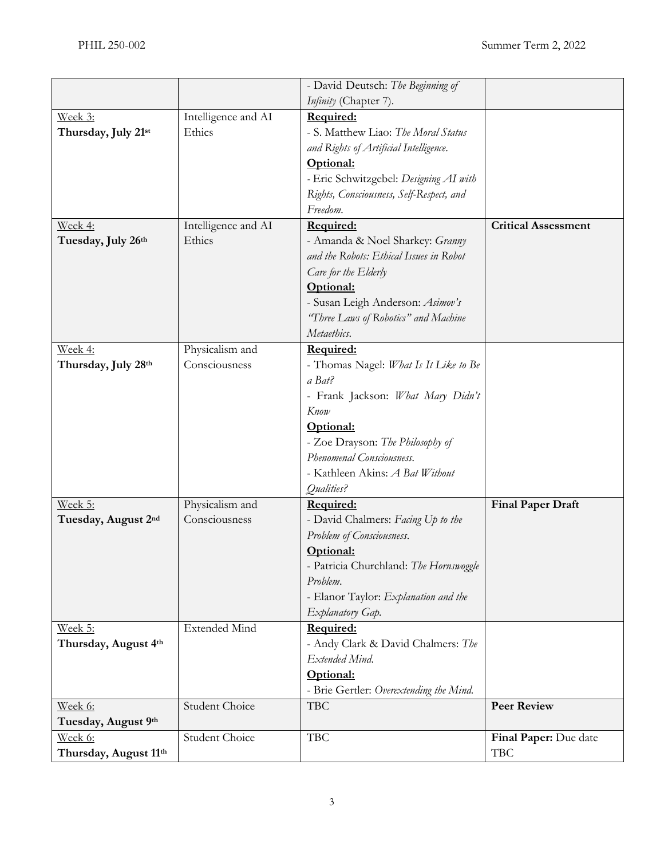|                       |                       | - David Deutsch: The Beginning of        |                            |
|-----------------------|-----------------------|------------------------------------------|----------------------------|
|                       |                       | Infinity (Chapter 7).                    |                            |
| Week 3:               | Intelligence and AI   | Required:                                |                            |
| Thursday, July 21st   | Ethics                | - S. Matthew Liao: The Moral Status      |                            |
|                       |                       | and Rights of Artificial Intelligence.   |                            |
|                       |                       | Optional:                                |                            |
|                       |                       | - Eric Schwitzgebel: Designing AI with   |                            |
|                       |                       | Rights, Consciousness, Self-Respect, and |                            |
|                       |                       | Freedom.                                 |                            |
| Week 4:               | Intelligence and AI   | Required:                                | <b>Critical Assessment</b> |
| Tuesday, July 26th    | Ethics                | - Amanda & Noel Sharkey: Granny          |                            |
|                       |                       | and the Robots: Ethical Issues in Robot  |                            |
|                       |                       | Care for the Elderly                     |                            |
|                       |                       | Optional:                                |                            |
|                       |                       | - Susan Leigh Anderson: Asimov's         |                            |
|                       |                       | "Three Laws of Robotics" and Machine     |                            |
|                       |                       | Metaethics.                              |                            |
| Week 4:               | Physicalism and       | Required:                                |                            |
| Thursday, July 28th   | Consciousness         | - Thomas Nagel: What Is It Like to Be    |                            |
|                       |                       | a Bat?                                   |                            |
|                       |                       | - Frank Jackson: What Mary Didn't        |                            |
|                       |                       | Know                                     |                            |
|                       |                       | Optional:                                |                            |
|                       |                       | - Zoe Drayson: The Philosophy of         |                            |
|                       |                       | Phenomenal Consciousness.                |                            |
|                       |                       | - Kathleen Akins: A Bat Without          |                            |
|                       |                       | Qualities?                               |                            |
| Week 5:               | Physicalism and       | Required:                                | <b>Final Paper Draft</b>   |
| Tuesday, August 2nd   | Consciousness         | - David Chalmers: Facing Up to the       |                            |
|                       |                       | Problem of Consciousness.                |                            |
|                       |                       | Optional:                                |                            |
|                       |                       | - Patricia Churchland: The Hornswoggle   |                            |
|                       |                       | Problem.                                 |                            |
|                       |                       | - Elanor Taylor: Explanation and the     |                            |
|                       |                       | Explanatory Gap.                         |                            |
| Week 5:               | <b>Extended Mind</b>  | Required:                                |                            |
| Thursday, August 4th  |                       | - Andy Clark & David Chalmers: The       |                            |
|                       |                       | Extended Mind.                           |                            |
|                       |                       | Optional:                                |                            |
|                       |                       | - Brie Gertler: Overextending the Mind.  |                            |
| Week 6:               | <b>Student Choice</b> | <b>TBC</b>                               | <b>Peer Review</b>         |
| Tuesday, August 9th   |                       |                                          |                            |
| Week 6:               | Student Choice        | <b>TBC</b>                               | Final Paper: Due date      |
| Thursday, August 11th |                       |                                          | <b>TBC</b>                 |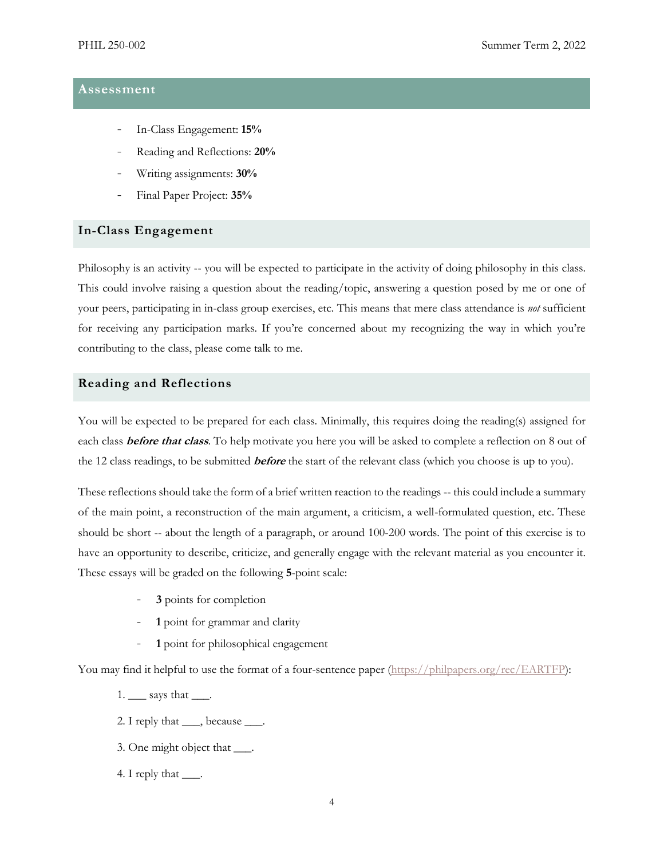# **Assessment**

- In-Class Engagement: **15%**
- Reading and Reflections: **20%**
- Writing assignments: **30%**
- Final Paper Project: **35%**

## **In-Class Engagement**

Philosophy is an activity -- you will be expected to participate in the activity of doing philosophy in this class. This could involve raising a question about the reading/topic, answering a question posed by me or one of your peers, participating in in-class group exercises, etc. This means that mere class attendance is *not* sufficient for receiving any participation marks. If you're concerned about my recognizing the way in which you're contributing to the class, please come talk to me.

## **Reading and Reflections**

You will be expected to be prepared for each class. Minimally, this requires doing the reading(s) assigned for each class **before that class**. To help motivate you here you will be asked to complete a reflection on 8 out of the 12 class readings, to be submitted **before** the start of the relevant class (which you choose is up to you).

These reflections should take the form of a brief written reaction to the readings -- this could include a summary of the main point, a reconstruction of the main argument, a criticism, a well-formulated question, etc. These should be short -- about the length of a paragraph, or around 100-200 words. The point of this exercise is to have an opportunity to describe, criticize, and generally engage with the relevant material as you encounter it. These essays will be graded on the following **5**-point scale:

- **3** points for completion
- **1** point for grammar and clarity
- **1** point for philosophical engagement

You may find it helpful to use the format of a four-sentence paper [\(https://philpapers.org/rec/EARTFP\)](https://philpapers.org/rec/EARTFP):

1. \_\_\_ says that \_\_\_.

- 2. I reply that \_\_\_, because \_\_\_.
- 3. One might object that \_\_\_.
- 4. I reply that <u>\_\_\_</u>.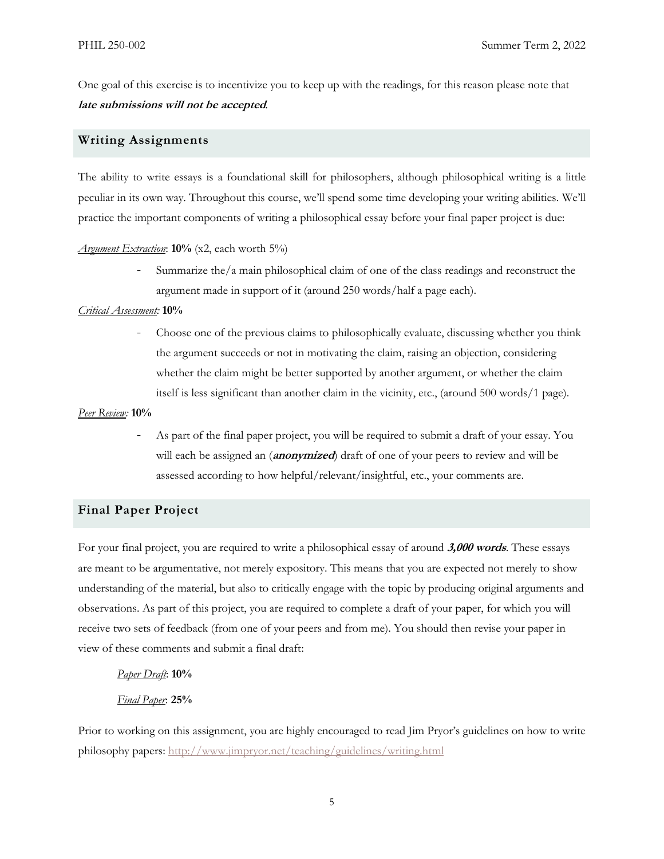One goal of this exercise is to incentivize you to keep up with the readings, for this reason please note that **late submissions will not be accepted***.*

## **Writing Assignments**

The ability to write essays is a foundational skill for philosophers, although philosophical writing is a little peculiar in its own way. Throughout this course, we'll spend some time developing your writing abilities. We'll practice the important components of writing a philosophical essay before your final paper project is due:

#### *Argument Extraction*: **10%** (x2, each worth 5%)

- Summarize the/a main philosophical claim of one of the class readings and reconstruct the argument made in support of it (around 250 words/half a page each).

#### *Critical Assessment:* **10%**

- Choose one of the previous claims to philosophically evaluate, discussing whether you think the argument succeeds or not in motivating the claim, raising an objection, considering whether the claim might be better supported by another argument, or whether the claim itself is less significant than another claim in the vicinity, etc., (around 500 words/1 page).

#### *Peer Review:* **10%**

As part of the final paper project, you will be required to submit a draft of your essay. You will each be assigned an (**anonymized**) draft of one of your peers to review and will be assessed according to how helpful/relevant/insightful, etc., your comments are.

# **Final Paper Project**

For your final project, you are required to write a philosophical essay of around **3,000 words**. These essays are meant to be argumentative, not merely expository. This means that you are expected not merely to show understanding of the material, but also to critically engage with the topic by producing original arguments and observations. As part of this project, you are required to complete a draft of your paper, for which you will receive two sets of feedback (from one of your peers and from me). You should then revise your paper in view of these comments and submit a final draft:

#### *Paper Draft*: **10%**

## *Final Paper*: **25%**

Prior to working on this assignment, you are highly encouraged to read Jim Pryor's guidelines on how to write philosophy papers: <http://www.jimpryor.net/teaching/guidelines/writing.html>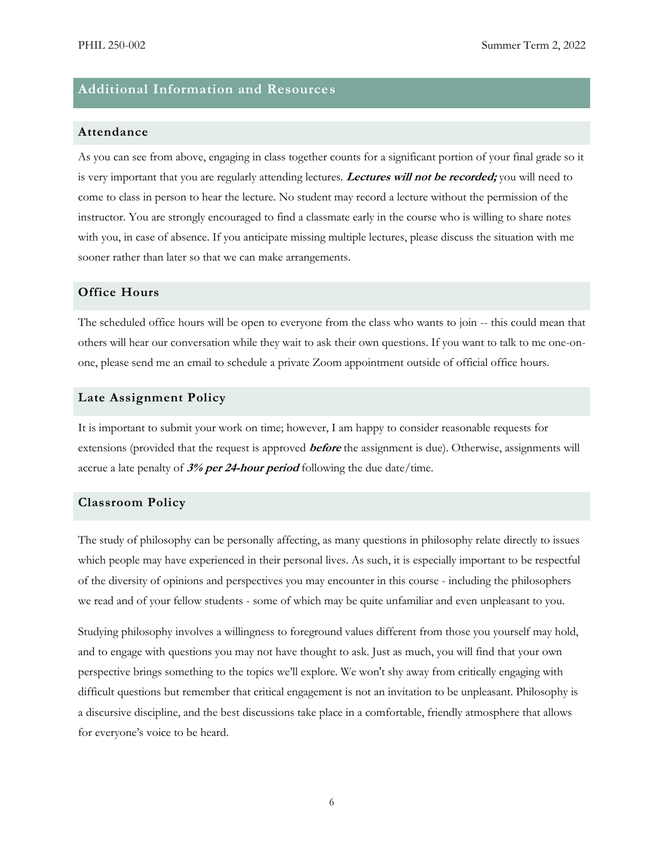# **Additional Information and Resources**

## **Attendance**

As you can see from above, engaging in class together counts for a significant portion of your final grade so it is very important that you are regularly attending lectures. **Lectures will not be recorded;** you will need to come to class in person to hear the lecture. No student may record a lecture without the permission of the instructor. You are strongly encouraged to find a classmate early in the course who is willing to share notes with you, in case of absence. If you anticipate missing multiple lectures, please discuss the situation with me sooner rather than later so that we can make arrangements.

## **Office Hours**

The scheduled office hours will be open to everyone from the class who wants to join -- this could mean that others will hear our conversation while they wait to ask their own questions. If you want to talk to me one-onone, please send me an email to schedule a private Zoom appointment outside of official office hours.

#### **Late Assignment Policy**

It is important to submit your work on time; however, I am happy to consider reasonable requests for extensions (provided that the request is approved **before** the assignment is due). Otherwise, assignments will accrue a late penalty of **3% per 24-hour period** following the due date/time.

#### **Classroom Policy**

The study of philosophy can be personally affecting, as many questions in philosophy relate directly to issues which people may have experienced in their personal lives. As such, it is especially important to be respectful of the diversity of opinions and perspectives you may encounter in this course - including the philosophers we read and of your fellow students - some of which may be quite unfamiliar and even unpleasant to you.

Studying philosophy involves a willingness to foreground values different from those you yourself may hold, and to engage with questions you may not have thought to ask. Just as much, you will find that your own perspective brings something to the topics we'll explore. We won't shy away from critically engaging with difficult questions but remember that critical engagement is not an invitation to be unpleasant. Philosophy is a discursive discipline, and the best discussions take place in a comfortable, friendly atmosphere that allows for everyone's voice to be heard.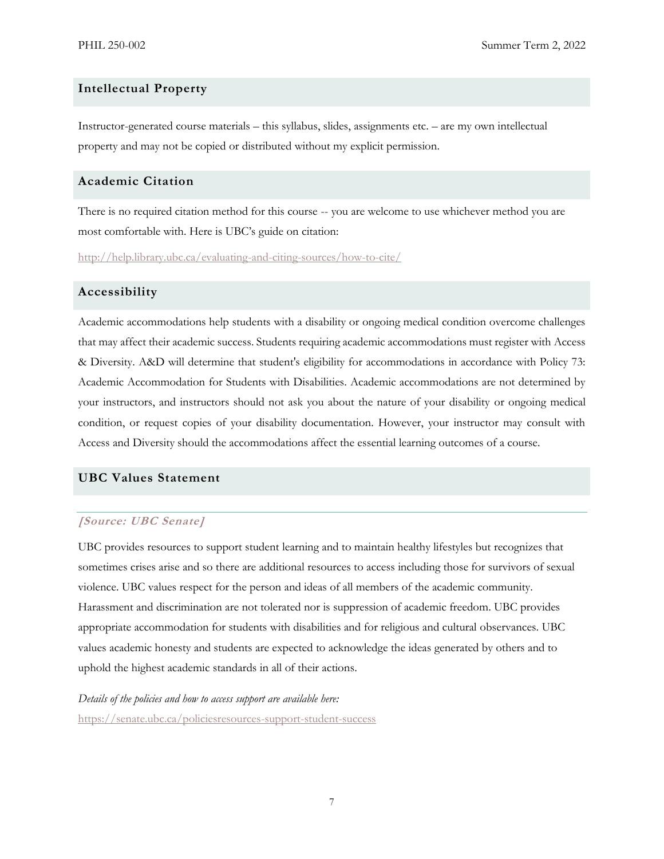## **Intellectual Property**

Instructor-generated course materials – this syllabus, slides, assignments etc. – are my own intellectual property and may not be copied or distributed without my explicit permission.

# **Academic Citation**

There is no required citation method for this course -- you are welcome to use whichever method you are most comfortable with. Here is UBC's guide on citation:

<http://help.library.ubc.ca/evaluating-and-citing-sources/how-to-cite/>

# **Accessibility**

Academic accommodations help students with a disability or ongoing medical condition overcome challenges that may affect their academic success. Students requiring academic accommodations must register with Access & Diversity. A&D will determine that student's eligibility for accommodations in accordance with Policy 73: Academic Accommodation for Students with Disabilities. Academic accommodations are not determined by your instructors, and instructors should not ask you about the nature of your disability or ongoing medical condition, or request copies of your disability documentation. However, your instructor may consult with Access and Diversity should the accommodations affect the essential learning outcomes of a course.

## **UBC Values Statement**

## **[Source: UBC Senate]**

UBC provides resources to support student learning and to maintain healthy lifestyles but recognizes that sometimes crises arise and so there are additional resources to access including those for survivors of sexual violence. UBC values respect for the person and ideas of all members of the academic community. Harassment and discrimination are not tolerated nor is suppression of academic freedom. UBC provides appropriate accommodation for students with disabilities and for religious and cultural observances. UBC values academic honesty and students are expected to acknowledge the ideas generated by others and to uphold the highest academic standards in all of their actions.

*Details of the policies and how to access support are available here:*  <https://senate.ubc.ca/policiesresources-support-student-success>